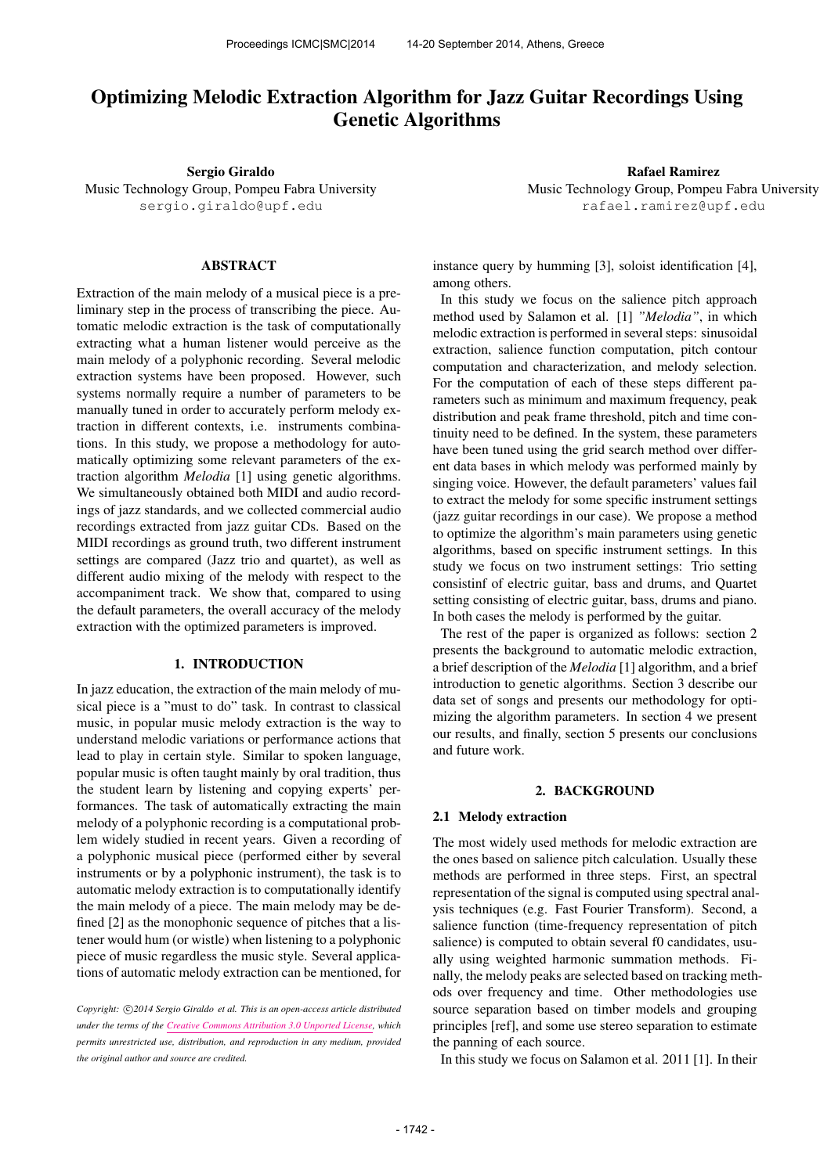# Optimizing Melodic Extraction Algorithm for Jazz Guitar Recordings Using Genetic Algorithms

Sergio Giraldo Music Technology Group, Pompeu Fabra University [sergio.giraldo@upf.edu](mailto:sergio.giraldo@upf.edu)

ABSTRACT

Extraction of the main melody of a musical piece is a preliminary step in the process of transcribing the piece. Automatic melodic extraction is the task of computationally extracting what a human listener would perceive as the main melody of a polyphonic recording. Several melodic extraction systems have been proposed. However, such systems normally require a number of parameters to be manually tuned in order to accurately perform melody extraction in different contexts, i.e. instruments combinations. In this study, we propose a methodology for automatically optimizing some relevant parameters of the extraction algorithm *Melodia* [1] using genetic algorithms. We simultaneously obtained both MIDI and audio recordings of jazz standards, and we collected commercial audio recordings extracted from jazz guitar CDs. Based on the MIDI recordings as ground truth, two different instrument settings are compared (Jazz trio and quartet), as well as different audio mixing of the melody with respect to the accompaniment track. We show that, compared to using the default parameters, the overall accuracy of the melody extraction with the optimized parameters is improved.

# 1. INTRODUCTION

In jazz education, the extraction of the main melody of musical piece is a "must to do" task. In contrast to classical music, in popular music melody extraction is the way to understand melodic variations or performance actions that lead to play in certain style. Similar to spoken language, popular music is often taught mainly by oral tradition, thus the student learn by listening and copying experts' performances. The task of automatically extracting the main melody of a polyphonic recording is a computational problem widely studied in recent years. Given a recording of a polyphonic musical piece (performed either by several instruments or by a polyphonic instrument), the task is to automatic melody extraction is to computationally identify the main melody of a piece. The main melody may be defined [2] as the monophonic sequence of pitches that a listener would hum (or wistle) when listening to a polyphonic piece of music regardless the music style. Several applications of automatic melody extraction can be mentioned, for

Copyright:  $\bigcirc$ 2014 Sergio Giraldo et al. This is an open-access article distributed *under the terms of the [Creative Commons Attribution 3.0 Unported License,](http://creativecommons.org/licenses/by/3.0/) which permits unrestricted use, distribution, and reproduction in any medium, provided the original author and source are credited.*

Rafael Ramirez Music Technology Group, Pompeu Fabra University [rafael.ramirez@upf.edu](mailto:rafael.ramirez@upf.edu)

instance query by humming [3], soloist identification [4], among others.

In this study we focus on the salience pitch approach method used by Salamon et al. [1] *"Melodia"*, in which melodic extraction is performed in several steps: sinusoidal extraction, salience function computation, pitch contour computation and characterization, and melody selection. For the computation of each of these steps different parameters such as minimum and maximum frequency, peak distribution and peak frame threshold, pitch and time continuity need to be defined. In the system, these parameters have been tuned using the grid search method over different data bases in which melody was performed mainly by singing voice. However, the default parameters' values fail to extract the melody for some specific instrument settings (jazz guitar recordings in our case). We propose a method to optimize the algorithm's main parameters using genetic algorithms, based on specific instrument settings. In this study we focus on two instrument settings: Trio setting consistinf of electric guitar, bass and drums, and Quartet setting consisting of electric guitar, bass, drums and piano. In both cases the melody is performed by the guitar.

The rest of the paper is organized as follows: section 2 presents the background to automatic melodic extraction, a brief description of the *Melodia* [1] algorithm, and a brief introduction to genetic algorithms. Section 3 describe our data set of songs and presents our methodology for optimizing the algorithm parameters. In section 4 we present our results, and finally, section 5 presents our conclusions and future work.

### 2. BACKGROUND

#### 2.1 Melody extraction

The most widely used methods for melodic extraction are the ones based on salience pitch calculation. Usually these methods are performed in three steps. First, an spectral representation of the signal is computed using spectral analysis techniques (e.g. Fast Fourier Transform). Second, a salience function (time-frequency representation of pitch salience) is computed to obtain several f0 candidates, usually using weighted harmonic summation methods. Finally, the melody peaks are selected based on tracking methods over frequency and time. Other methodologies use source separation based on timber models and grouping principles [ref], and some use stereo separation to estimate the panning of each source.

In this study we focus on Salamon et al. 2011 [1]. In their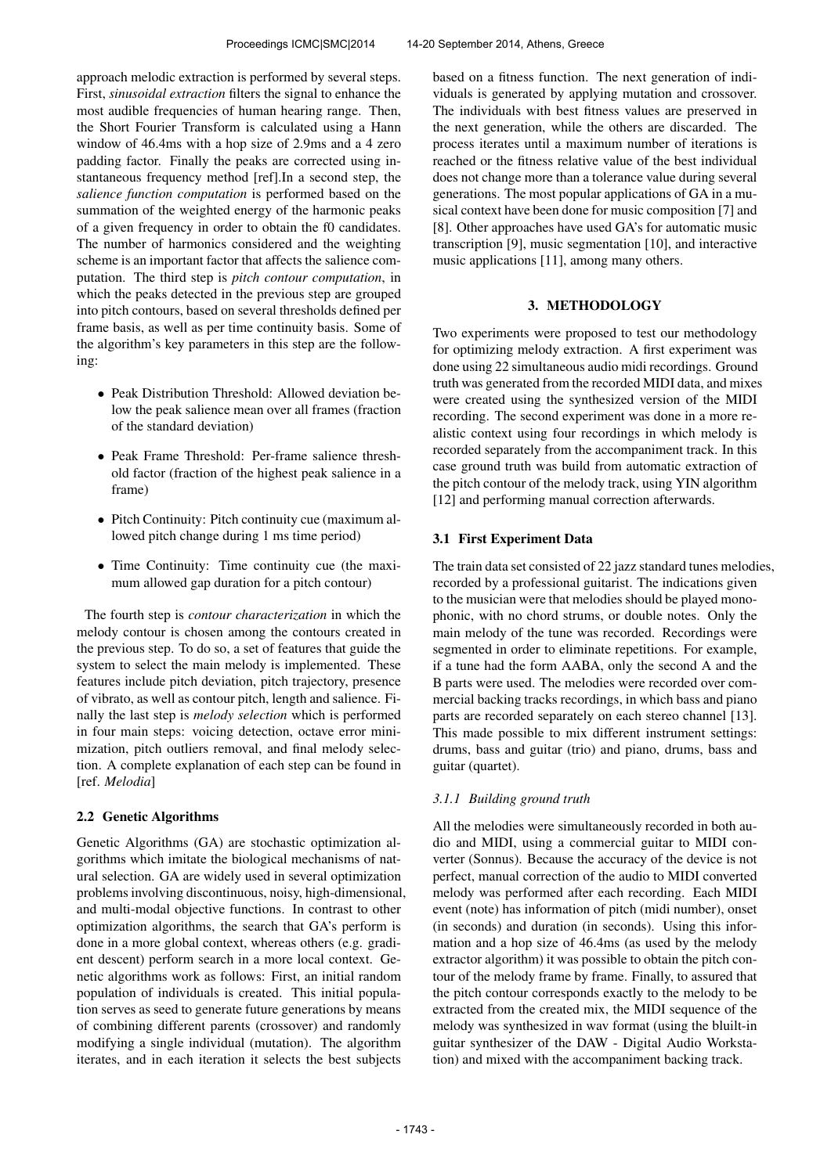approach melodic extraction is performed by several steps. First, *sinusoidal extraction* filters the signal to enhance the most audible frequencies of human hearing range. Then, the Short Fourier Transform is calculated using a Hann window of 46.4ms with a hop size of 2.9ms and a 4 zero padding factor. Finally the peaks are corrected using instantaneous frequency method [ref].In a second step, the *salience function computation* is performed based on the summation of the weighted energy of the harmonic peaks of a given frequency in order to obtain the f0 candidates. The number of harmonics considered and the weighting scheme is an important factor that affects the salience computation. The third step is *pitch contour computation*, in which the peaks detected in the previous step are grouped into pitch contours, based on several thresholds defined per frame basis, as well as per time continuity basis. Some of the algorithm's key parameters in this step are the following:

- Peak Distribution Threshold: Allowed deviation below the peak salience mean over all frames (fraction of the standard deviation)
- Peak Frame Threshold: Per-frame salience threshold factor (fraction of the highest peak salience in a frame)
- Pitch Continuity: Pitch continuity cue (maximum allowed pitch change during 1 ms time period)
- Time Continuity: Time continuity cue (the maximum allowed gap duration for a pitch contour)

The fourth step is *contour characterization* in which the melody contour is chosen among the contours created in the previous step. To do so, a set of features that guide the system to select the main melody is implemented. These features include pitch deviation, pitch trajectory, presence of vibrato, as well as contour pitch, length and salience. Finally the last step is *melody selection* which is performed in four main steps: voicing detection, octave error minimization, pitch outliers removal, and final melody selection. A complete explanation of each step can be found in [ref. *Melodia*]

# 2.2 Genetic Algorithms

Genetic Algorithms (GA) are stochastic optimization algorithms which imitate the biological mechanisms of natural selection. GA are widely used in several optimization problems involving discontinuous, noisy, high-dimensional, and multi-modal objective functions. In contrast to other optimization algorithms, the search that GA's perform is done in a more global context, whereas others (e.g. gradient descent) perform search in a more local context. Genetic algorithms work as follows: First, an initial random population of individuals is created. This initial population serves as seed to generate future generations by means of combining different parents (crossover) and randomly modifying a single individual (mutation). The algorithm iterates, and in each iteration it selects the best subjects

based on a fitness function. The next generation of individuals is generated by applying mutation and crossover. The individuals with best fitness values are preserved in the next generation, while the others are discarded. The process iterates until a maximum number of iterations is reached or the fitness relative value of the best individual does not change more than a tolerance value during several generations. The most popular applications of GA in a musical context have been done for music composition [7] and [8]. Other approaches have used GA's for automatic music transcription [9], music segmentation [10], and interactive music applications [11], among many others.

# 3. METHODOLOGY

Two experiments were proposed to test our methodology for optimizing melody extraction. A first experiment was done using 22 simultaneous audio midi recordings. Ground truth was generated from the recorded MIDI data, and mixes were created using the synthesized version of the MIDI recording. The second experiment was done in a more realistic context using four recordings in which melody is recorded separately from the accompaniment track. In this case ground truth was build from automatic extraction of the pitch contour of the melody track, using YIN algorithm [12] and performing manual correction afterwards.

# 3.1 First Experiment Data

The train data set consisted of 22 jazz standard tunes melodies, recorded by a professional guitarist. The indications given to the musician were that melodies should be played monophonic, with no chord strums, or double notes. Only the main melody of the tune was recorded. Recordings were segmented in order to eliminate repetitions. For example, if a tune had the form AABA, only the second A and the B parts were used. The melodies were recorded over commercial backing tracks recordings, in which bass and piano parts are recorded separately on each stereo channel [13]. This made possible to mix different instrument settings: drums, bass and guitar (trio) and piano, drums, bass and guitar (quartet).

# *3.1.1 Building ground truth*

All the melodies were simultaneously recorded in both audio and MIDI, using a commercial guitar to MIDI converter (Sonnus). Because the accuracy of the device is not perfect, manual correction of the audio to MIDI converted melody was performed after each recording. Each MIDI event (note) has information of pitch (midi number), onset (in seconds) and duration (in seconds). Using this information and a hop size of 46.4ms (as used by the melody extractor algorithm) it was possible to obtain the pitch contour of the melody frame by frame. Finally, to assured that the pitch contour corresponds exactly to the melody to be extracted from the created mix, the MIDI sequence of the melody was synthesized in wav format (using the bluilt-in guitar synthesizer of the DAW - Digital Audio Workstation) and mixed with the accompaniment backing track.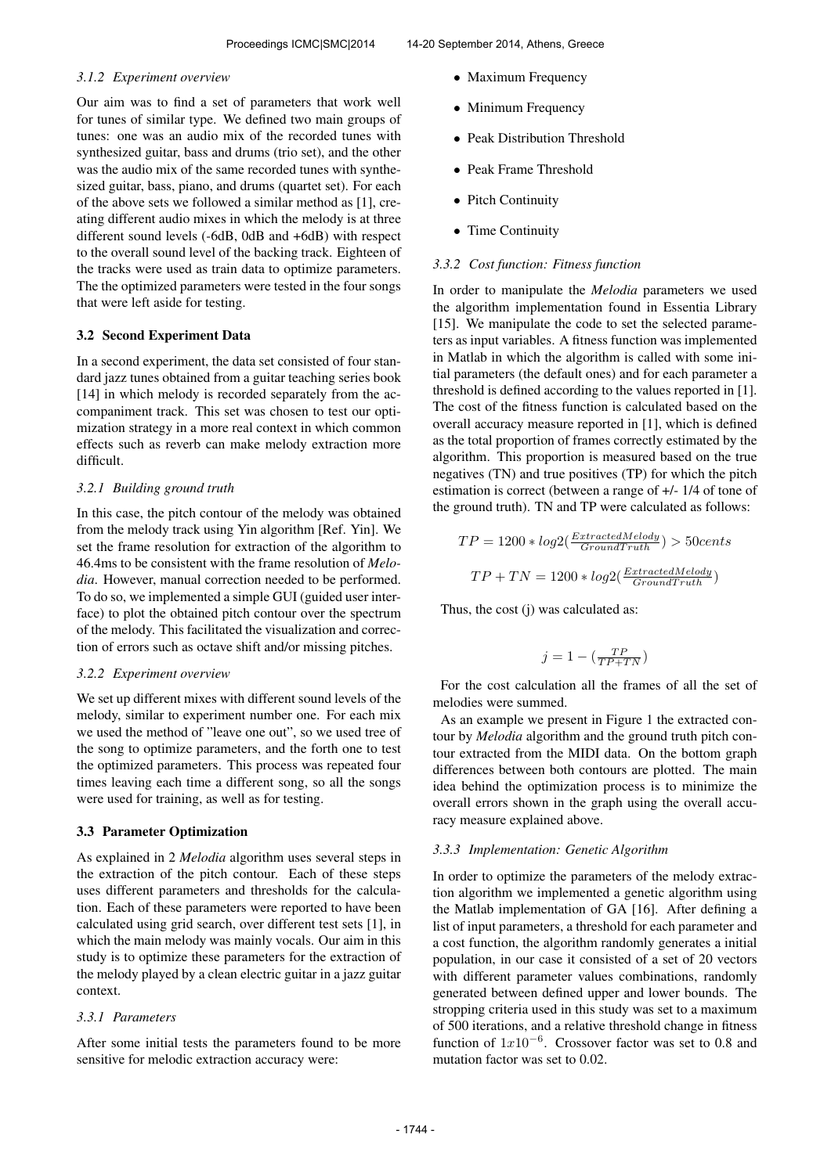#### *3.1.2 Experiment overview*

Our aim was to find a set of parameters that work well for tunes of similar type. We defined two main groups of tunes: one was an audio mix of the recorded tunes with synthesized guitar, bass and drums (trio set), and the other was the audio mix of the same recorded tunes with synthesized guitar, bass, piano, and drums (quartet set). For each of the above sets we followed a similar method as [1], creating different audio mixes in which the melody is at three different sound levels (-6dB, 0dB and +6dB) with respect to the overall sound level of the backing track. Eighteen of the tracks were used as train data to optimize parameters. The the optimized parameters were tested in the four songs that were left aside for testing.

### 3.2 Second Experiment Data

In a second experiment, the data set consisted of four standard jazz tunes obtained from a guitar teaching series book [14] in which melody is recorded separately from the accompaniment track. This set was chosen to test our optimization strategy in a more real context in which common effects such as reverb can make melody extraction more difficult.

#### *3.2.1 Building ground truth*

In this case, the pitch contour of the melody was obtained from the melody track using Yin algorithm [Ref. Yin]. We set the frame resolution for extraction of the algorithm to 46.4ms to be consistent with the frame resolution of *Melodia*. However, manual correction needed to be performed. To do so, we implemented a simple GUI (guided user interface) to plot the obtained pitch contour over the spectrum of the melody. This facilitated the visualization and correction of errors such as octave shift and/or missing pitches.

#### *3.2.2 Experiment overview*

We set up different mixes with different sound levels of the melody, similar to experiment number one. For each mix we used the method of "leave one out", so we used tree of the song to optimize parameters, and the forth one to test the optimized parameters. This process was repeated four times leaving each time a different song, so all the songs were used for training, as well as for testing.

#### 3.3 Parameter Optimization

As explained in 2 *Melodia* algorithm uses several steps in the extraction of the pitch contour. Each of these steps uses different parameters and thresholds for the calculation. Each of these parameters were reported to have been calculated using grid search, over different test sets [1], in which the main melody was mainly vocals. Our aim in this study is to optimize these parameters for the extraction of the melody played by a clean electric guitar in a jazz guitar context.

#### *3.3.1 Parameters*

After some initial tests the parameters found to be more sensitive for melodic extraction accuracy were:

- Maximum Frequency
- Minimum Frequency
- Peak Distribution Threshold
- Peak Frame Threshold
- Pitch Continuity
- Time Continuity

### *3.3.2 Cost function: Fitness function*

In order to manipulate the *Melodia* parameters we used the algorithm implementation found in Essentia Library [15]. We manipulate the code to set the selected parameters as input variables. A fitness function was implemented in Matlab in which the algorithm is called with some initial parameters (the default ones) and for each parameter a threshold is defined according to the values reported in [1]. The cost of the fitness function is calculated based on the overall accuracy measure reported in [1], which is defined as the total proportion of frames correctly estimated by the algorithm. This proportion is measured based on the true negatives (TN) and true positives (TP) for which the pitch estimation is correct (between a range of +/- 1/4 of tone of the ground truth). TN and TP were calculated as follows:

$$
TP = 1200 * log2(\frac{ExtractedMelody}{Ground Truth}) > 50 cents
$$

$$
TP + TN = 1200 * log2(\frac{ExtractedMelody}{Ground Truth})
$$

Thus, the cost (j) was calculated as:

$$
j=1-\left(\frac{TP}{TP+TN}\right)
$$

For the cost calculation all the frames of all the set of melodies were summed.

As an example we present in Figure 1 the extracted contour by *Melodia* algorithm and the ground truth pitch contour extracted from the MIDI data. On the bottom graph differences between both contours are plotted. The main idea behind the optimization process is to minimize the overall errors shown in the graph using the overall accuracy measure explained above.

### *3.3.3 Implementation: Genetic Algorithm*

In order to optimize the parameters of the melody extraction algorithm we implemented a genetic algorithm using the Matlab implementation of GA [16]. After defining a list of input parameters, a threshold for each parameter and a cost function, the algorithm randomly generates a initial population, in our case it consisted of a set of 20 vectors with different parameter values combinations, randomly generated between defined upper and lower bounds. The stropping criteria used in this study was set to a maximum of 500 iterations, and a relative threshold change in fitness function of  $1x10^{-6}$ . Crossover factor was set to 0.8 and mutation factor was set to 0.02.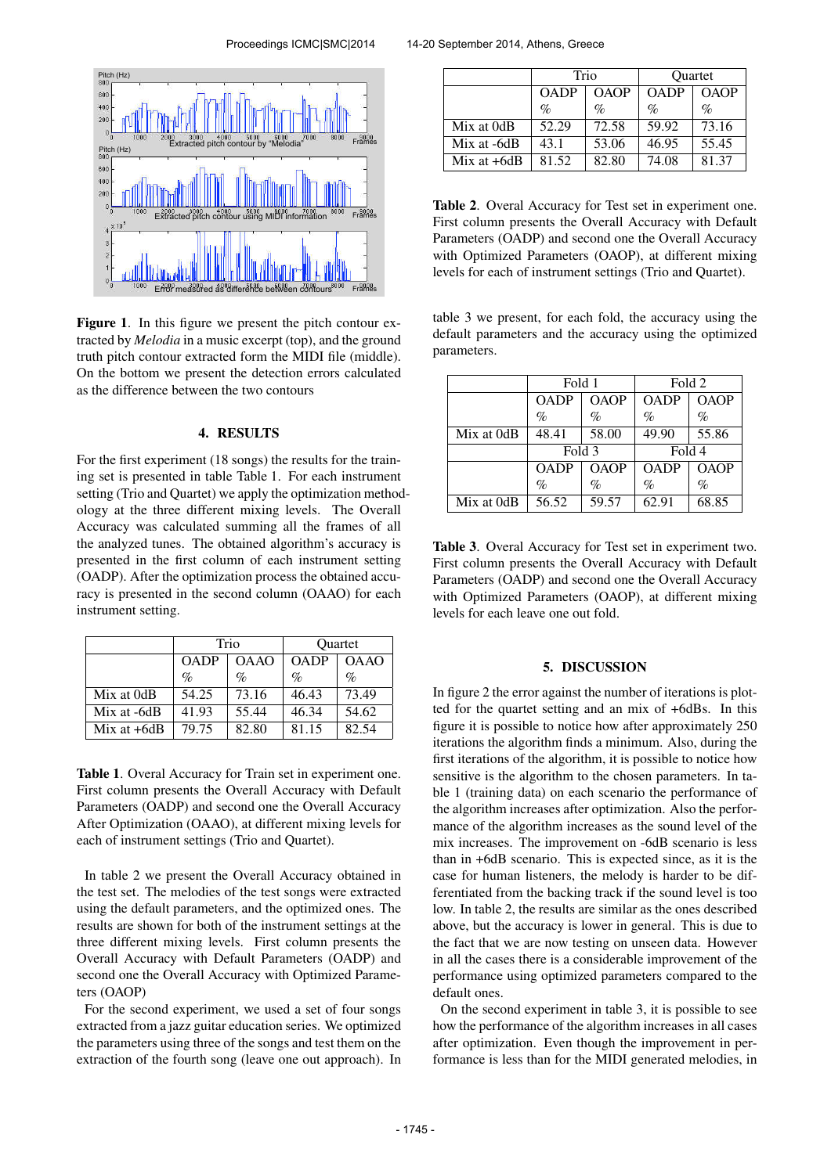

Figure 1. In this figure we present the pitch contour extracted by *Melodia* in a music excerpt (top), and the ground truth pitch contour extracted form the MIDI file (middle). On the bottom we present the detection errors calculated as the difference between the two contours

### 4. RESULTS

For the first experiment (18 songs) the results for the training set is presented in table Table 1. For each instrument setting (Trio and Quartet) we apply the optimization methodology at the three different mixing levels. The Overall Accuracy was calculated summing all the frames of all the analyzed tunes. The obtained algorithm's accuracy is presented in the first column of each instrument setting (OADP). After the optimization process the obtained accuracy is presented in the second column (OAAO) for each instrument setting.

|               | Trio        |             | <b>Ouartet</b> |             |
|---------------|-------------|-------------|----------------|-------------|
|               | <b>OADP</b> | <b>OAAO</b> | <b>OADP</b>    | <b>OAAO</b> |
|               | $\%$        | $\%$        | $\%$           | $\%$        |
| Mix at 0dB    | 54.25       | 73.16       | 46.43          | 73.49       |
| Mix at -6dB   | 41.93       | 55.44       | 46.34          | 54.62       |
| Mix at $+6dB$ | 79.75       | 82.80       | 81.15          | 82.54       |

Table 1. Overal Accuracy for Train set in experiment one. First column presents the Overall Accuracy with Default Parameters (OADP) and second one the Overall Accuracy After Optimization (OAAO), at different mixing levels for each of instrument settings (Trio and Quartet).

In table 2 we present the Overall Accuracy obtained in the test set. The melodies of the test songs were extracted using the default parameters, and the optimized ones. The results are shown for both of the instrument settings at the three different mixing levels. First column presents the Overall Accuracy with Default Parameters (OADP) and second one the Overall Accuracy with Optimized Parameters (OAOP)

For the second experiment, we used a set of four songs extracted from a jazz guitar education series. We optimized the parameters using three of the songs and test them on the extraction of the fourth song (leave one out approach). In

|               | Trio        |             | Quartet     |             |
|---------------|-------------|-------------|-------------|-------------|
|               | <b>OADP</b> | <b>OAOP</b> | <b>OADP</b> | <b>OAOP</b> |
|               | $\%$        | $\%$        | $\%$        | $\%$        |
| Mix at 0dB    | 52.29       | 72.58       | 59.92       | 73.16       |
| Mix at -6dB   | 43.1        | 53.06       | 46.95       | 55.45       |
| Mix at $+6dB$ | 81.52       | 82.80       | 74.08       | 81.37       |

Table 2. Overal Accuracy for Test set in experiment one. First column presents the Overall Accuracy with Default Parameters (OADP) and second one the Overall Accuracy with Optimized Parameters (OAOP), at different mixing levels for each of instrument settings (Trio and Quartet).

table 3 we present, for each fold, the accuracy using the default parameters and the accuracy using the optimized parameters.

|            | Fold 1      |             | Fold 2      |       |
|------------|-------------|-------------|-------------|-------|
|            | <b>OADP</b> | <b>OAOP</b> | <b>OADP</b> | OAOP  |
|            | $\%$        | $\%$        | %           | $\%$  |
| Mix at 0dB | 48.41       | 58.00       | 49.90       | 55.86 |
|            | Fold 3      |             | Fold 4      |       |
|            | <b>OADP</b> | <b>OAOP</b> | <b>OADP</b> | OAOP  |
|            | $\%$        | %           | $\%$        | $\%$  |
| Mix at 0dB | 56.52       | 59.57       | 62.91       | 68.85 |

Table 3. Overal Accuracy for Test set in experiment two. First column presents the Overall Accuracy with Default Parameters (OADP) and second one the Overall Accuracy with Optimized Parameters (OAOP), at different mixing levels for each leave one out fold.

# 5. DISCUSSION

In figure 2 the error against the number of iterations is plotted for the quartet setting and an mix of +6dBs. In this figure it is possible to notice how after approximately 250 iterations the algorithm finds a minimum. Also, during the first iterations of the algorithm, it is possible to notice how sensitive is the algorithm to the chosen parameters. In table 1 (training data) on each scenario the performance of the algorithm increases after optimization. Also the performance of the algorithm increases as the sound level of the mix increases. The improvement on -6dB scenario is less than in +6dB scenario. This is expected since, as it is the case for human listeners, the melody is harder to be differentiated from the backing track if the sound level is too low. In table 2, the results are similar as the ones described above, but the accuracy is lower in general. This is due to the fact that we are now testing on unseen data. However in all the cases there is a considerable improvement of the performance using optimized parameters compared to the default ones.

On the second experiment in table 3, it is possible to see how the performance of the algorithm increases in all cases after optimization. Even though the improvement in performance is less than for the MIDI generated melodies, in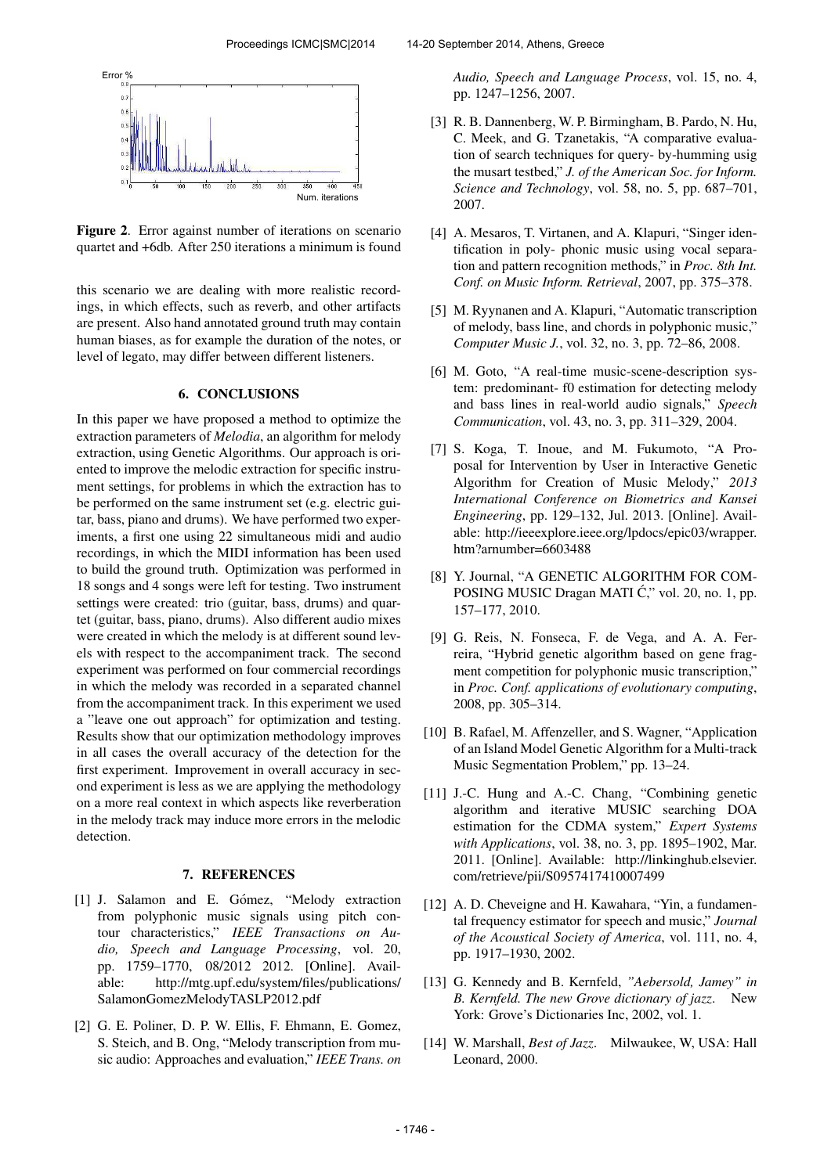

Figure 2. Error against number of iterations on scenario quartet and +6db. After 250 iterations a minimum is found

this scenario we are dealing with more realistic recordings, in which effects, such as reverb, and other artifacts are present. Also hand annotated ground truth may contain human biases, as for example the duration of the notes, or level of legato, may differ between different listeners.

### 6. CONCLUSIONS

In this paper we have proposed a method to optimize the extraction parameters of *Melodia*, an algorithm for melody extraction, using Genetic Algorithms. Our approach is oriented to improve the melodic extraction for specific instrument settings, for problems in which the extraction has to be performed on the same instrument set (e.g. electric guitar, bass, piano and drums). We have performed two experiments, a first one using 22 simultaneous midi and audio recordings, in which the MIDI information has been used to build the ground truth. Optimization was performed in 18 songs and 4 songs were left for testing. Two instrument settings were created: trio (guitar, bass, drums) and quartet (guitar, bass, piano, drums). Also different audio mixes were created in which the melody is at different sound levels with respect to the accompaniment track. The second experiment was performed on four commercial recordings in which the melody was recorded in a separated channel from the accompaniment track. In this experiment we used a "leave one out approach" for optimization and testing. Results show that our optimization methodology improves in all cases the overall accuracy of the detection for the first experiment. Improvement in overall accuracy in second experiment is less as we are applying the methodology on a more real context in which aspects like reverberation in the melody track may induce more errors in the melodic detection.

#### 7. REFERENCES

- [1] J. Salamon and E. Gómez, "Melody extraction from polyphonic music signals using pitch contour characteristics," *IEEE Transactions on Audio, Speech and Language Processing*, vol. 20, pp. 1759–1770, 08/2012 2012. [Online]. Available: [http://mtg.upf.edu/system/files/publications/](http://mtg.upf.edu/system/files/publications/SalamonGomezMelodyTASLP2012.pdf) [SalamonGomezMelodyTASLP2012.pdf](http://mtg.upf.edu/system/files/publications/SalamonGomezMelodyTASLP2012.pdf)
- [2] G. E. Poliner, D. P. W. Ellis, F. Ehmann, E. Gomez, S. Steich, and B. Ong, "Melody transcription from music audio: Approaches and evaluation," *IEEE Trans. on*

*Audio, Speech and Language Process*, vol. 15, no. 4, pp. 1247–1256, 2007.

- [3] R. B. Dannenberg, W. P. Birmingham, B. Pardo, N. Hu, C. Meek, and G. Tzanetakis, "A comparative evaluation of search techniques for query- by-humming usig the musart testbed," *J. of the American Soc. for Inform. Science and Technology*, vol. 58, no. 5, pp. 687–701, 2007.
- [4] A. Mesaros, T. Virtanen, and A. Klapuri, "Singer identification in poly- phonic music using vocal separation and pattern recognition methods," in *Proc. 8th Int. Conf. on Music Inform. Retrieval*, 2007, pp. 375–378.
- [5] M. Ryynanen and A. Klapuri, "Automatic transcription of melody, bass line, and chords in polyphonic music," *Computer Music J.*, vol. 32, no. 3, pp. 72–86, 2008.
- [6] M. Goto, "A real-time music-scene-description system: predominant- f0 estimation for detecting melody and bass lines in real-world audio signals," *Speech Communication*, vol. 43, no. 3, pp. 311–329, 2004.
- [7] S. Koga, T. Inoue, and M. Fukumoto, "A Proposal for Intervention by User in Interactive Genetic Algorithm for Creation of Music Melody," *2013 International Conference on Biometrics and Kansei Engineering*, pp. 129–132, Jul. 2013. [Online]. Available: [http://ieeexplore.ieee.org/lpdocs/epic03/wrapper.](http://ieeexplore.ieee.org/lpdocs/epic03/wrapper.htm?arnumber=6603488) [htm?arnumber=6603488](http://ieeexplore.ieee.org/lpdocs/epic03/wrapper.htm?arnumber=6603488)
- [8] Y. Journal, "A GENETIC ALGORITHM FOR COM-POSING MUSIC Dragan MATI Ć," vol. 20, no. 1, pp. 157–177, 2010.
- [9] G. Reis, N. Fonseca, F. de Vega, and A. A. Ferreira, "Hybrid genetic algorithm based on gene fragment competition for polyphonic music transcription," in *Proc. Conf. applications of evolutionary computing*, 2008, pp. 305–314.
- [10] B. Rafael, M. Affenzeller, and S. Wagner, "Application of an Island Model Genetic Algorithm for a Multi-track Music Segmentation Problem," pp. 13–24.
- [11] J.-C. Hung and A.-C. Chang, "Combining genetic algorithm and iterative MUSIC searching DOA estimation for the CDMA system," *Expert Systems with Applications*, vol. 38, no. 3, pp. 1895–1902, Mar. 2011. [Online]. Available: [http://linkinghub.elsevier.](http://linkinghub.elsevier.com/retrieve/pii/S0957417410007499) [com/retrieve/pii/S0957417410007499](http://linkinghub.elsevier.com/retrieve/pii/S0957417410007499)
- [12] A. D. Cheveigne and H. Kawahara, "Yin, a fundamental frequency estimator for speech and music," *Journal of the Acoustical Society of America*, vol. 111, no. 4, pp. 1917–1930, 2002.
- [13] G. Kennedy and B. Kernfeld, *"Aebersold, Jamey" in B. Kernfeld. The new Grove dictionary of jazz*. New York: Grove's Dictionaries Inc, 2002, vol. 1.
- [14] W. Marshall, *Best of Jazz*. Milwaukee, W, USA: Hall Leonard, 2000.